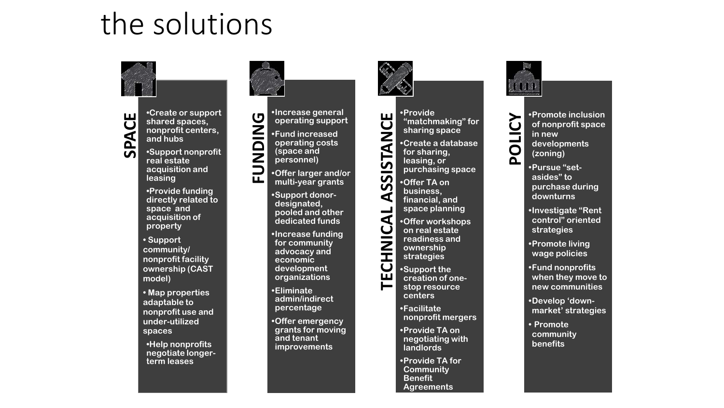## the solutions



**SPACE SPACE OF Support**<br> **SPACE SPACE SPACE SPACE SPACE SPACE SPACE SPACE SPACE SPACE SPACE SPACE SPACE SPACE SPACE SPACE SPACE SPACE SPACE SPACE SPACE SPACE SPACE SPACE SPACE SPACE SPACE SPACE SPACE SPACE SPACE SPACE SPA shared spaces, nonprofit centers, and hubs** 

**real estate acquisition and leasing**

**•Provide funding directly related to space and acquisition of property** 

**• Support community/ nonprofit facility ownership (CAST model)**

**• Map properties adaptable to nonprofit use and under-utilized spaces** 

**•Help nonprofits negotiate longerterm leases**



**•Offer larger and/or multi-year grants**

**•Support donordesignated, pooled and other dedicated funds**

**•Increase funding for community advocacy and economic development organizations**

**•Eliminate admin/indirect percentage**

**•Offer emergency grants for moving and tenant improvements**



**TECHNICAL ASSEM**<br>
TECHNICAL ASSEMINATOR CREAT AND THE SAMPLET OF SACTION CONTROVER CHANGE OF SACTION CREAT ASSEMINATOR CREAT OF SUPPORT CREATION STORES TO THE SACTO THAT A SUPPORT CREATION STOP RESTRICTED TO A SUPPORT CRE **"matchmaking" for sharing space •Create a database for sharing, leasing, or purchasing space** 

**•Offer TA on business, financial, and space planning** 

**•Offer workshops on real estate readiness and ownership strategies**

**•Support the creation of onestop resource centers**

**•Facilitate nonprofit mergers** 

**•Provide TA on negotiating with landlords**

**•Provide TA for Community Benefit Agreements**



•Promote inclusion<br>
of nonprofit space<br>
in new<br>
developments<br>
(zoning) **of nonprofit space in new developments (zoning)**

**•Pursue "setasides" to purchase during downturns**

**•Investigate "Rent control" oriented strategies** 

**•Promote living wage policies** 

**•Fund nonprofits when they move to new communities**

**•Develop 'downmarket' strategies**

**• Promote community benefits**